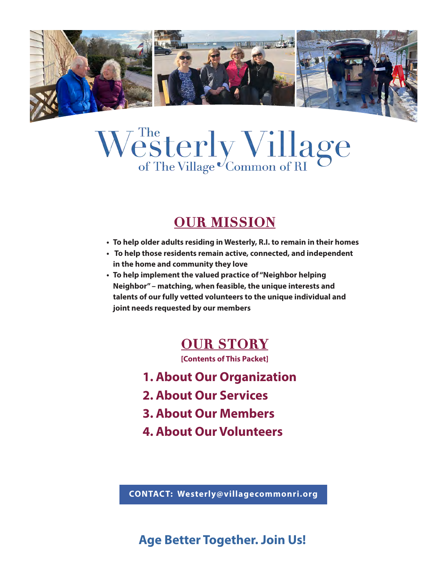

# Westerly Village

# **OUR MISSION**

- **• To help older adults residing in Westerly, R.I. to remain in their homes**
- **To help those residents remain active, connected, and independent in the home and community they love**
- **• To help implement the valued practice of "Neighbor helping Neighbor" – matching, when feasible, the unique interests and talents of our fully vetted volunteers to the unique individual and joint needs requested by our members**

## **OUR STORY**

**[Contents of This Packet]**

- **1. About Our Organization**
- **2. About Our Services**
- **3. About Our Members**
- **4. About Our Volunteers**

**CONTACT: Westerly@villagecommonri.org**

## **Age Better Together. Join Us!**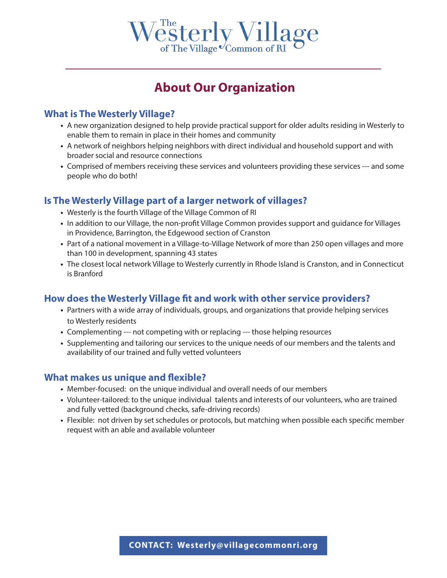

## **About Our Organization**

#### **What is The Westerly Village?**

- **•** A new organization designed to help provide practical support for older adults residing in Westerly to enable them to remain in place in their homes and community
- **•** A network of neighbors helping neighbors with direct individual and household support and with broader social and resource connections
- **•** Comprised of members receiving these services and volunteers providing these services --- and some people who do both!

#### **Is The Westerly Village part of a larger network of villages?**

- **•** Westerly is the fourth Village of the Village Common of RI
- **•** In addition to our Village, the non-profit Village Common provides support and guidance for Villages in Providence, Barrington, the Edgewood section of Cranston
- **•** Part of a national movement in a Village-to-Village Network of more than 250 open villages and more than 100 in development, spanning 43 states
- **•** The closest local network Village to Westerly currently in Rhode Island is Cranston, and in Connecticut is Branford

#### **How does the Westerly Village fit and work with other service providers?**

- **•** Partners with a wide array of individuals, groups, and organizations that provide helping services to Westerly residents
- **•** Complementing --- not competing with or replacing --- those helping resources
- **•** Supplementing and tailoring our services to the unique needs of our members and the talents and availability of our trained and fully vetted volunteers

#### **What makes us unique and flexible?**

- **•** Member-focused: on the unique individual and overall needs of our members
- **•** Volunteer-tailored: to the unique individual talents and interests of our volunteers, who are trained and fully vetted (background checks, safe-driving records)
- **•** Flexible: not driven by set schedules or protocols, but matching when possible each specific member request with an able and available volunteer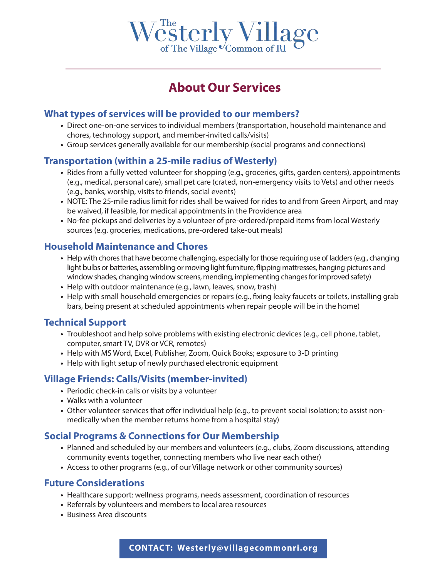

## **About Our Services**

#### **What types of services will be provided to our members?**

- **•** Direct one-on-one services to individual members (transportation, household maintenance and chores, technology support, and member-invited calls/visits)
- **•** Group services generally available for our membership (social programs and connections)

#### **Transportation (within a 25-mile radius of Westerly)**

- **•** Rides from a fully vetted volunteer for shopping (e.g., groceries, gifts, garden centers), appointments (e.g., medical, personal care), small pet care (crated, non-emergency visits to Vets) and other needs (e.g., banks, worship, visits to friends, social events)
- **•** NOTE: The 25-mile radius limit for rides shall be waived for rides to and from Green Airport, and may be waived, if feasible, for medical appointments in the Providence area
- **•** No-fee pickups and deliveries by a volunteer of pre-ordered/prepaid items from local Westerly sources (e.g. groceries, medications, pre-ordered take-out meals)

#### **Household Maintenance and Chores**

- **•** Help with chores that have become challenging, especially for those requiring use of ladders (e.g., changing light bulbs or batteries, assembling or moving light furniture, flipping mattresses, hanging pictures and window shades, changing window screens, mending, implementing changes for improved safety)
- **•** Help with outdoor maintenance (e.g., lawn, leaves, snow, trash)
- **•** Help with small household emergencies or repairs (e.g., fixing leaky faucets or toilets, installing grab bars, being present at scheduled appointments when repair people will be in the home)

#### **Technical Support**

- **•** Troubleshoot and help solve problems with existing electronic devices (e.g., cell phone, tablet, computer, smart TV, DVR or VCR, remotes)
- **•** Help with MS Word, Excel, Publisher, Zoom, Quick Books; exposure to 3-D printing
- **•** Help with light setup of newly purchased electronic equipment

#### **Village Friends: Calls/Visits (member-invited)**

- **•** Periodic check-in calls or visits by a volunteer
- **•** Walks with a volunteer
- **•** Other volunteer services that offer individual help (e.g., to prevent social isolation; to assist nonmedically when the member returns home from a hospital stay)

#### **Social Programs & Connections for Our Membership**

- **•** Planned and scheduled by our members and volunteers (e.g., clubs, Zoom discussions, attending community events together, connecting members who live near each other)
- **•** Access to other programs (e.g., of our Village network or other community sources)

#### **Future Considerations**

- **•** Healthcare support: wellness programs, needs assessment, coordination of resources
- **•** Referrals by volunteers and members to local area resources
- **•** Business Area discounts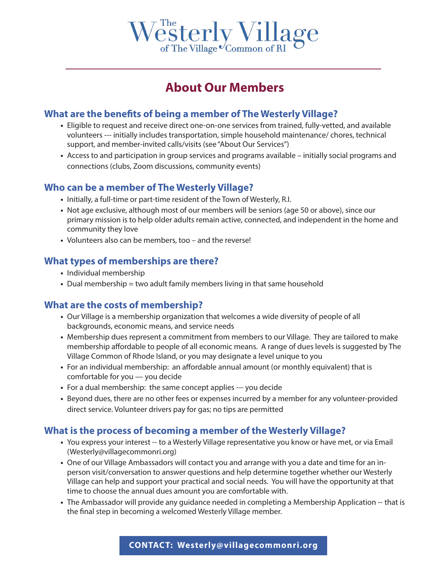

## **About Our Members**

#### **What are the benefits of being a member of The Westerly Village?**

- **•** Eligible to request and receive direct one-on-one services from trained, fully-vetted, and available volunteers --- initially includes transportation, simple household maintenance/ chores, technical support, and member-invited calls/visits (see "About Our Services")
- **•** Access to and participation in group services and programs available initially social programs and connections (clubs, Zoom discussions, community events)

#### **Who can be a member of The Westerly Village?**

- **•** Initially, a full-time or part-time resident of the Town of Westerly, R.I.
- **•** Not age exclusive, although most of our members will be seniors (age 50 or above), since our primary mission is to help older adults remain active, connected, and independent in the home and community they love
- **•** Volunteers also can be members, too and the reverse!

#### **What types of memberships are there?**

- **•** Individual membership
- **•** Dual membership = two adult family members living in that same household

#### **What are the costs of membership?**

- **•** Our Village is a membership organization that welcomes a wide diversity of people of all backgrounds, economic means, and service needs
- **•** Membership dues represent a commitment from members to our Village. They are tailored to make membership affordable to people of all economic means. A range of dues levels is suggested by The Village Common of Rhode Island, or you may designate a level unique to you
- **•** For an individual membership: an affordable annual amount (or monthly equivalent) that is comfortable for you — you decide
- **•** For a dual membership: the same concept applies --- you decide
- **•** Beyond dues, there are no other fees or expenses incurred by a member for any volunteer-provided direct service. Volunteer drivers pay for gas; no tips are permitted

#### **What is the process of becoming a member of the Westerly Village?**

- **•** You express your interest -- to a Westerly Village representative you know or have met, or via Email (Westerly@villagecommonri.org)
- **•** One of our Village Ambassadors will contact you and arrange with you a date and time for an inperson visit/conversation to answer questions and help determine together whether our Westerly Village can help and support your practical and social needs. You will have the opportunity at that time to choose the annual dues amount you are comfortable with.
- **•** The Ambassador will provide any guidance needed in completing a Membership Application -- that is the final step in becoming a welcomed Westerly Village member.